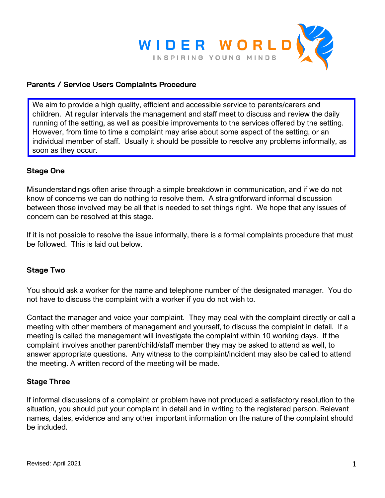

## **Parents / Service Users Complaints Procedure**

We aim to provide a high quality, efficient and accessible service to parents/carers and children. At regular intervals the management and staff meet to discuss and review the daily running of the setting, as well as possible improvements to the services offered by the setting. However, from time to time a complaint may arise about some aspect of the setting, or an individual member of staff. Usually it should be possible to resolve any problems informally, as soon as they occur.

### **Stage One**

Misunderstandings often arise through a simple breakdown in communication, and if we do not know of concerns we can do nothing to resolve them. A straightforward informal discussion between those involved may be all that is needed to set things right. We hope that any issues of concern can be resolved at this stage.

If it is not possible to resolve the issue informally, there is a formal complaints procedure that must be followed. This is laid out below.

#### **Stage Two**

You should ask a worker for the name and telephone number of the designated manager. You do not have to discuss the complaint with a worker if you do not wish to.

Contact the manager and voice your complaint. They may deal with the complaint directly or call a meeting with other members of management and yourself, to discuss the complaint in detail. If a meeting is called the management will investigate the complaint within 10 working days. If the complaint involves another parent/child/staff member they may be asked to attend as well, to answer appropriate questions. Any witness to the complaint/incident may also be called to attend the meeting. A written record of the meeting will be made.

#### **Stage Three**

If informal discussions of a complaint or problem have not produced a satisfactory resolution to the situation, you should put your complaint in detail and in writing to the registered person. Relevant names, dates, evidence and any other important information on the nature of the complaint should be included.